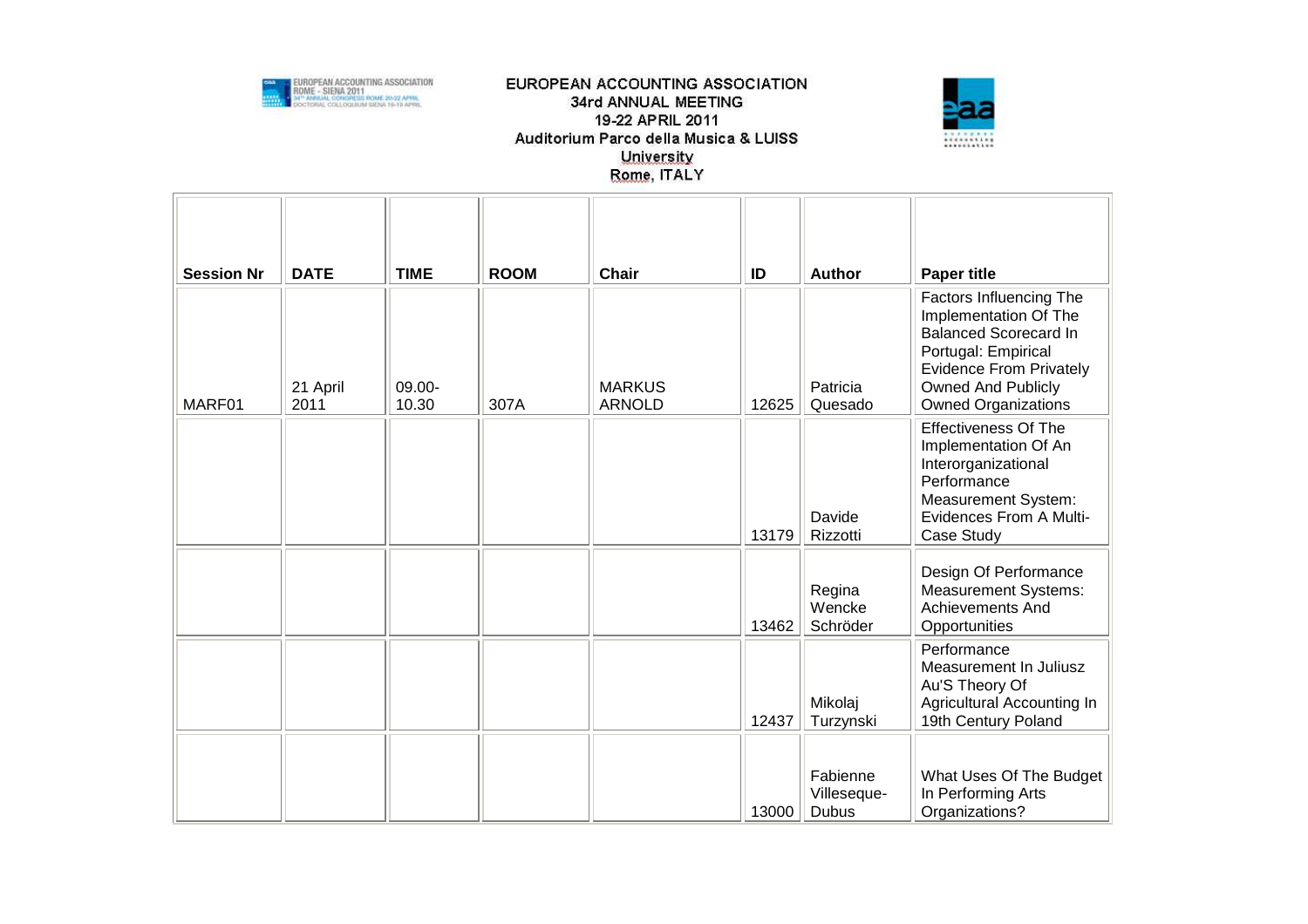



| <b>Session Nr</b> | <b>DATE</b>      | <b>TIME</b>     | <b>ROOM</b> | <b>Chair</b>                   | ID    | <b>Author</b>                    | <b>Paper title</b>                                                                                                                                                                                   |
|-------------------|------------------|-----------------|-------------|--------------------------------|-------|----------------------------------|------------------------------------------------------------------------------------------------------------------------------------------------------------------------------------------------------|
| MARF01            | 21 April<br>2011 | 09.00-<br>10.30 | 307A        | <b>MARKUS</b><br><b>ARNOLD</b> | 12625 | Patricia<br>Quesado              | Factors Influencing The<br>Implementation Of The<br><b>Balanced Scorecard In</b><br>Portugal: Empirical<br><b>Evidence From Privately</b><br><b>Owned And Publicly</b><br><b>Owned Organizations</b> |
|                   |                  |                 |             |                                | 13179 | Davide<br>Rizzotti               | <b>Effectiveness Of The</b><br>Implementation Of An<br>Interorganizational<br>Performance<br>Measurement System:<br>Evidences From A Multi-<br>Case Study                                            |
|                   |                  |                 |             |                                | 13462 | Regina<br>Wencke<br>Schröder     | Design Of Performance<br><b>Measurement Systems:</b><br><b>Achievements And</b><br>Opportunities                                                                                                     |
|                   |                  |                 |             |                                | 12437 | Mikolaj<br>Turzynski             | Performance<br>Measurement In Juliusz<br>Au'S Theory Of<br>Agricultural Accounting In<br>19th Century Poland                                                                                         |
|                   |                  |                 |             |                                | 13000 | Fabienne<br>Villeseque-<br>Dubus | What Uses Of The Budget<br>In Performing Arts<br>Organizations?                                                                                                                                      |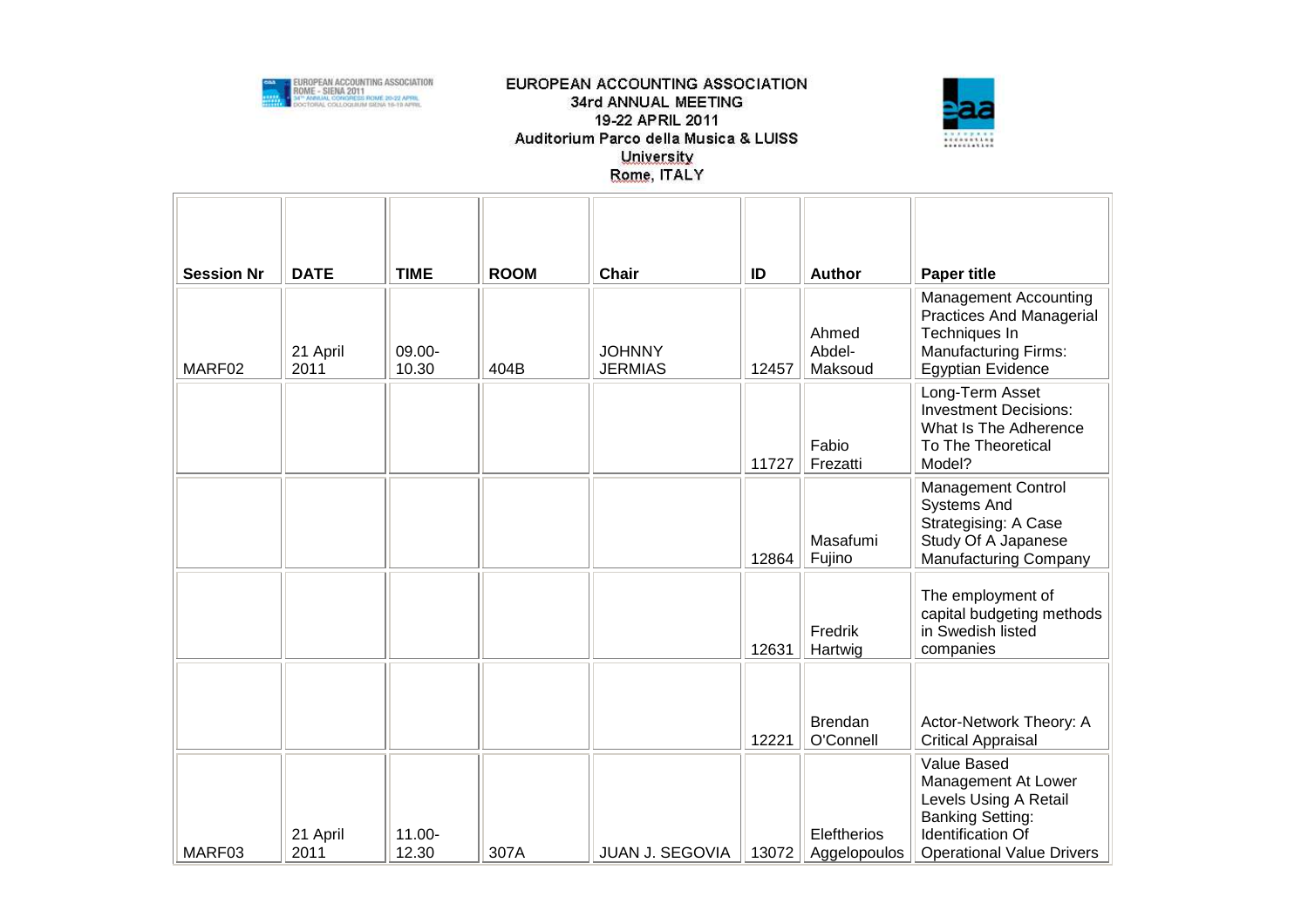



| <b>Session Nr</b> | <b>DATE</b>      | <b>TIME</b>        | <b>ROOM</b> | <b>Chair</b>                    | ID    | Author                      | <b>Paper title</b>                                                                                                                                     |
|-------------------|------------------|--------------------|-------------|---------------------------------|-------|-----------------------------|--------------------------------------------------------------------------------------------------------------------------------------------------------|
| MARF02            | 21 April<br>2011 | 09.00-<br>10.30    | 404B        | <b>JOHNNY</b><br><b>JERMIAS</b> | 12457 | Ahmed<br>Abdel-<br>Maksoud  | <b>Management Accounting</b><br>Practices And Managerial<br>Techniques In<br><b>Manufacturing Firms:</b><br><b>Egyptian Evidence</b>                   |
|                   |                  |                    |             |                                 | 11727 | Fabio<br>Frezatti           | Long-Term Asset<br><b>Investment Decisions:</b><br>What Is The Adherence<br>To The Theoretical<br>Model?                                               |
|                   |                  |                    |             |                                 | 12864 | Masafumi<br>Fujino          | <b>Management Control</b><br><b>Systems And</b><br>Strategising: A Case<br>Study Of A Japanese<br><b>Manufacturing Company</b>                         |
|                   |                  |                    |             |                                 | 12631 | Fredrik<br>Hartwig          | The employment of<br>capital budgeting methods<br>in Swedish listed<br>companies                                                                       |
|                   |                  |                    |             |                                 | 12221 | Brendan<br>O'Connell        | Actor-Network Theory: A<br><b>Critical Appraisal</b>                                                                                                   |
| MARF03            | 21 April<br>2011 | $11.00 -$<br>12.30 | 307A        | JUAN J. SEGOVIA                 | 13072 | Eleftherios<br>Aggelopoulos | Value Based<br>Management At Lower<br>Levels Using A Retail<br><b>Banking Setting:</b><br><b>Identification Of</b><br><b>Operational Value Drivers</b> |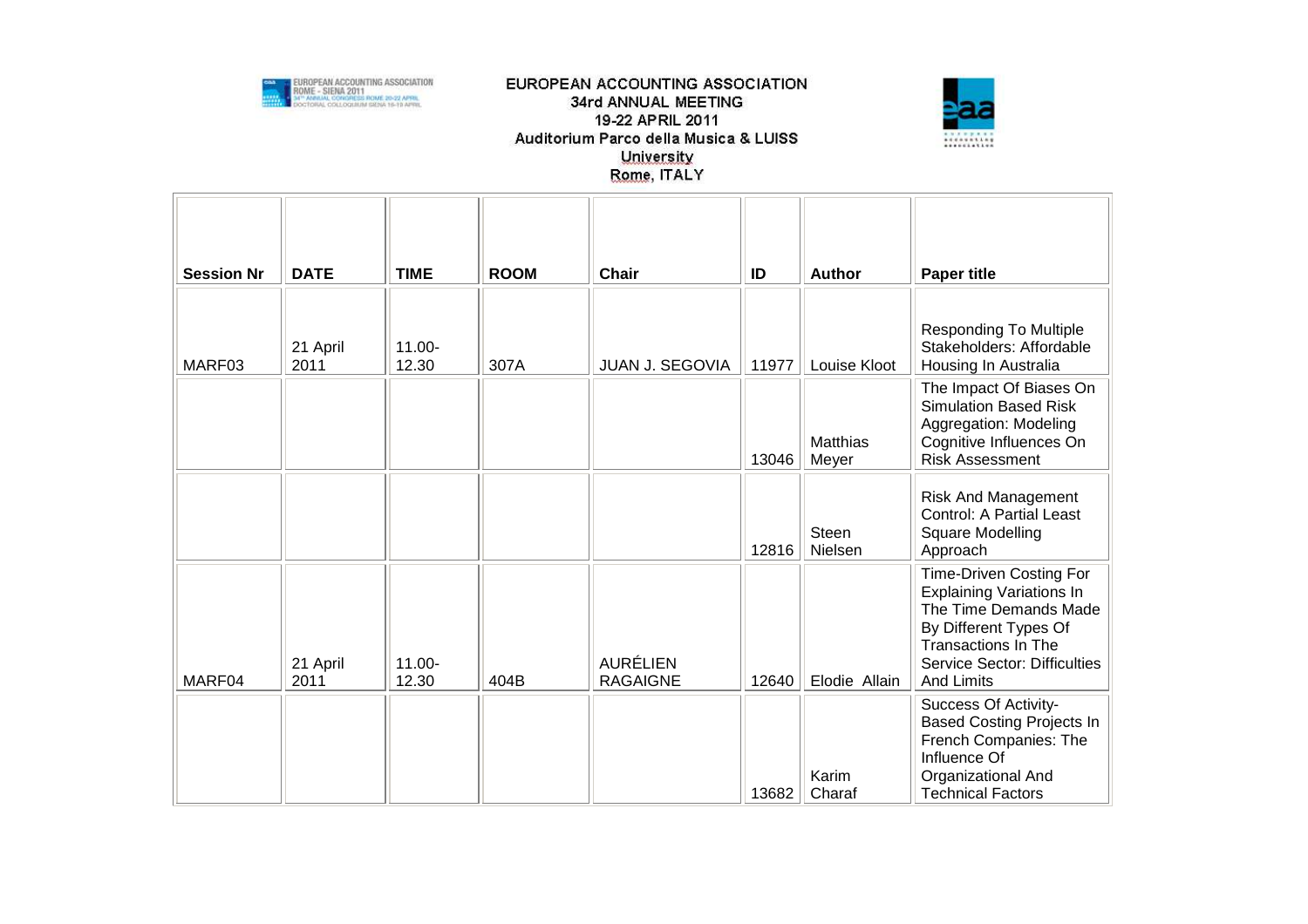



| <b>Session Nr</b> | <b>DATE</b>      | <b>TIME</b>     | <b>ROOM</b> | <b>Chair</b>                       | ID    | <b>Author</b>           | <b>Paper title</b>                                                                                                                                                                                     |
|-------------------|------------------|-----------------|-------------|------------------------------------|-------|-------------------------|--------------------------------------------------------------------------------------------------------------------------------------------------------------------------------------------------------|
| MARF03            | 21 April<br>2011 | 11.00-<br>12.30 | 307A        | JUAN J. SEGOVIA                    | 11977 | Louise Kloot            | <b>Responding To Multiple</b><br>Stakeholders: Affordable<br>Housing In Australia                                                                                                                      |
|                   |                  |                 |             |                                    | 13046 | Matthias<br>Meyer       | The Impact Of Biases On<br><b>Simulation Based Risk</b><br>Aggregation: Modeling<br>Cognitive Influences On<br><b>Risk Assessment</b>                                                                  |
|                   |                  |                 |             |                                    | 12816 | <b>Steen</b><br>Nielsen | <b>Risk And Management</b><br><b>Control: A Partial Least</b><br>Square Modelling<br>Approach                                                                                                          |
| MARF04            | 21 April<br>2011 | 11.00-<br>12.30 | 404B        | <b>AURÉLIEN</b><br><b>RAGAIGNE</b> | 12640 | Elodie Allain           | <b>Time-Driven Costing For</b><br><b>Explaining Variations In</b><br>The Time Demands Made<br>By Different Types Of<br>Transactions In The<br><b>Service Sector: Difficulties</b><br><b>And Limits</b> |
|                   |                  |                 |             |                                    | 13682 | Karim<br>Charaf         | Success Of Activity-<br><b>Based Costing Projects In</b><br>French Companies: The<br>Influence Of<br>Organizational And<br><b>Technical Factors</b>                                                    |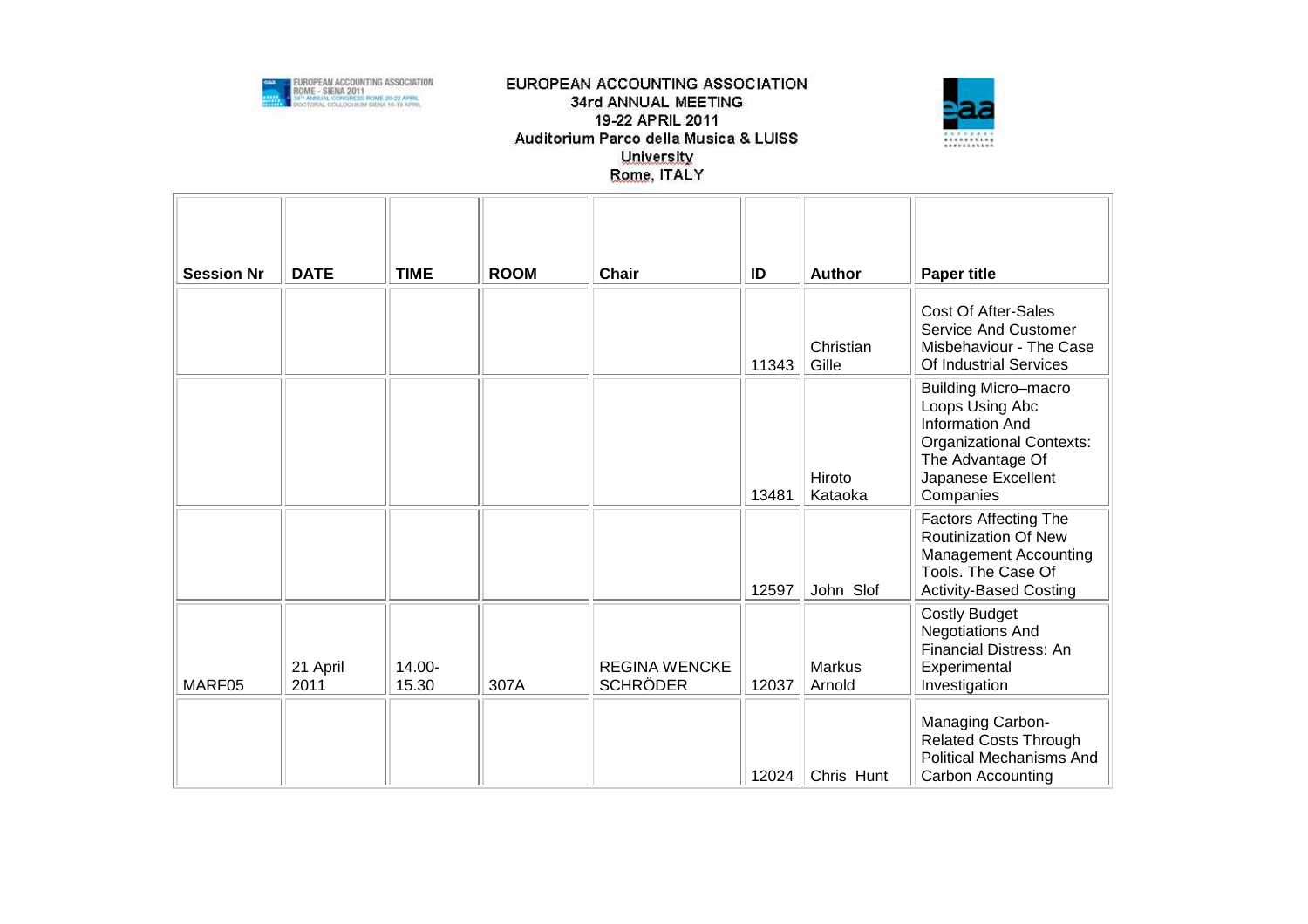



| <b>Session Nr</b> | <b>DATE</b>      | <b>TIME</b>     | <b>ROOM</b> | <b>Chair</b>                            | ID    | <b>Author</b>           | <b>Paper title</b>                                                                                                                                          |
|-------------------|------------------|-----------------|-------------|-----------------------------------------|-------|-------------------------|-------------------------------------------------------------------------------------------------------------------------------------------------------------|
|                   |                  |                 |             |                                         | 11343 | Christian<br>Gille      | <b>Cost Of After-Sales</b><br><b>Service And Customer</b><br>Misbehaviour - The Case<br>Of Industrial Services                                              |
|                   |                  |                 |             |                                         | 13481 | Hiroto<br>Kataoka       | <b>Building Micro-macro</b><br>Loops Using Abc<br>Information And<br><b>Organizational Contexts:</b><br>The Advantage Of<br>Japanese Excellent<br>Companies |
|                   |                  |                 |             |                                         | 12597 | John Slof               | <b>Factors Affecting The</b><br><b>Routinization Of New</b><br><b>Management Accounting</b><br>Tools. The Case Of<br><b>Activity-Based Costing</b>          |
| MARF05            | 21 April<br>2011 | 14.00-<br>15.30 | 307A        | <b>REGINA WENCKE</b><br><b>SCHRÖDER</b> | 12037 | <b>Markus</b><br>Arnold | <b>Costly Budget</b><br><b>Negotiations And</b><br><b>Financial Distress: An</b><br>Experimental<br>Investigation                                           |
|                   |                  |                 |             |                                         | 12024 | Chris Hunt              | Managing Carbon-<br><b>Related Costs Through</b><br><b>Political Mechanisms And</b><br>Carbon Accounting                                                    |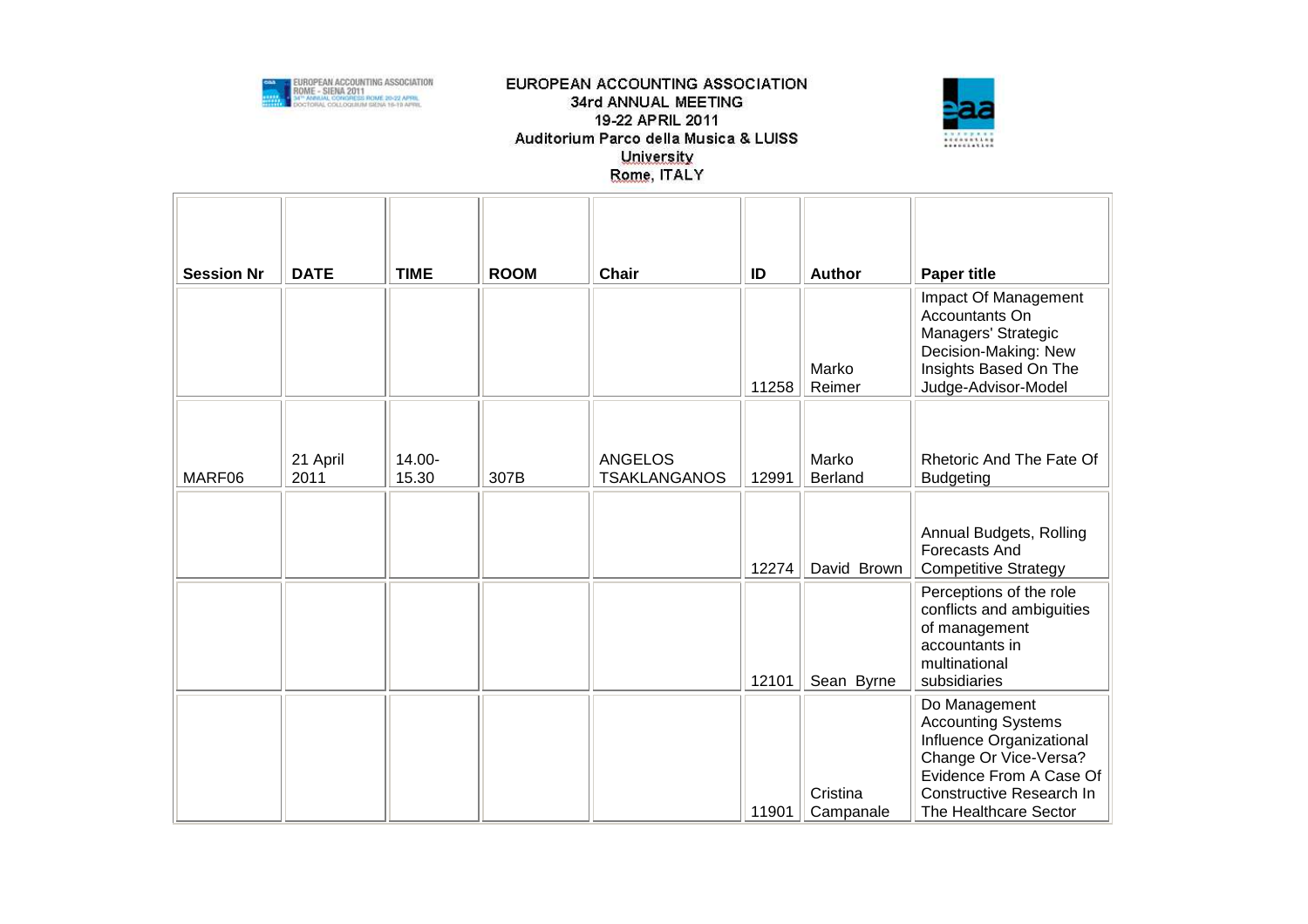



| <b>Session Nr</b> | <b>DATE</b>      | <b>TIME</b>     | <b>ROOM</b> | <b>Chair</b>                          | ID    | <b>Author</b>    | <b>Paper title</b>                                                                                                                    |
|-------------------|------------------|-----------------|-------------|---------------------------------------|-------|------------------|---------------------------------------------------------------------------------------------------------------------------------------|
|                   |                  |                 |             |                                       | 11258 | Marko<br>Reimer  | Impact Of Management<br>Accountants On<br>Managers' Strategic<br>Decision-Making: New<br>Insights Based On The<br>Judge-Advisor-Model |
|                   |                  |                 |             |                                       |       |                  |                                                                                                                                       |
| MARF06            | 21 April<br>2011 | 14.00-<br>15.30 | 307B        | <b>ANGELOS</b><br><b>TSAKLANGANOS</b> | 12991 | Marko<br>Berland | Rhetoric And The Fate Of<br><b>Budgeting</b>                                                                                          |
|                   |                  |                 |             |                                       |       |                  |                                                                                                                                       |
|                   |                  |                 |             |                                       | 12274 | David Brown      | Annual Budgets, Rolling<br>Forecasts And<br><b>Competitive Strategy</b>                                                               |
|                   |                  |                 |             |                                       | 12101 | Sean Byrne       | Perceptions of the role<br>conflicts and ambiguities<br>of management<br>accountants in<br>multinational<br>subsidiaries              |
|                   |                  |                 |             |                                       |       |                  | Do Management<br><b>Accounting Systems</b><br>Influence Organizational<br>Change Or Vice-Versa?<br>Evidence From A Case Of            |
|                   |                  |                 |             |                                       |       | Cristina         | Constructive Research In                                                                                                              |
|                   |                  |                 |             |                                       | 11901 | Campanale        | The Healthcare Sector                                                                                                                 |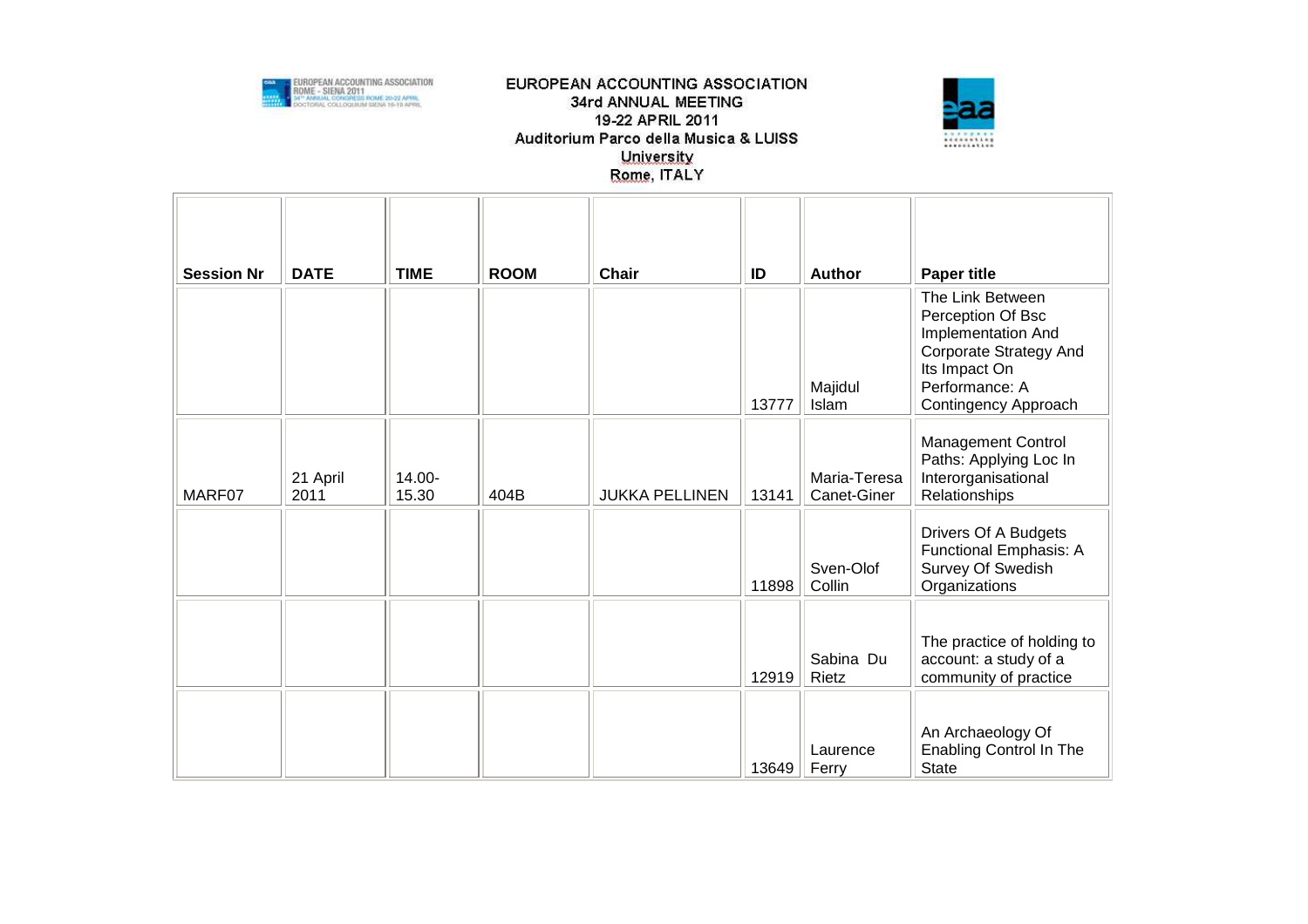



| <b>Session Nr</b> | <b>DATE</b>      | <b>TIME</b>     | <b>ROOM</b> | <b>Chair</b>          | ID    | <b>Author</b>               | <b>Paper title</b>                                                                                                                                      |
|-------------------|------------------|-----------------|-------------|-----------------------|-------|-----------------------------|---------------------------------------------------------------------------------------------------------------------------------------------------------|
|                   |                  |                 |             |                       | 13777 | Majidul<br>Islam            | The Link Between<br>Perception Of Bsc<br>Implementation And<br><b>Corporate Strategy And</b><br>Its Impact On<br>Performance: A<br>Contingency Approach |
| MARF07            | 21 April<br>2011 | 14.00-<br>15.30 | 404B        | <b>JUKKA PELLINEN</b> | 13141 | Maria-Teresa<br>Canet-Giner | <b>Management Control</b><br>Paths: Applying Loc In<br>Interorganisational<br>Relationships                                                             |
|                   |                  |                 |             |                       | 11898 | Sven-Olof<br>Collin         | Drivers Of A Budgets<br>Functional Emphasis: A<br>Survey Of Swedish<br>Organizations                                                                    |
|                   |                  |                 |             |                       | 12919 | Sabina Du<br>Rietz          | The practice of holding to<br>account: a study of a<br>community of practice                                                                            |
|                   |                  |                 |             |                       | 13649 | Laurence<br>Ferry           | An Archaeology Of<br><b>Enabling Control In The</b><br><b>State</b>                                                                                     |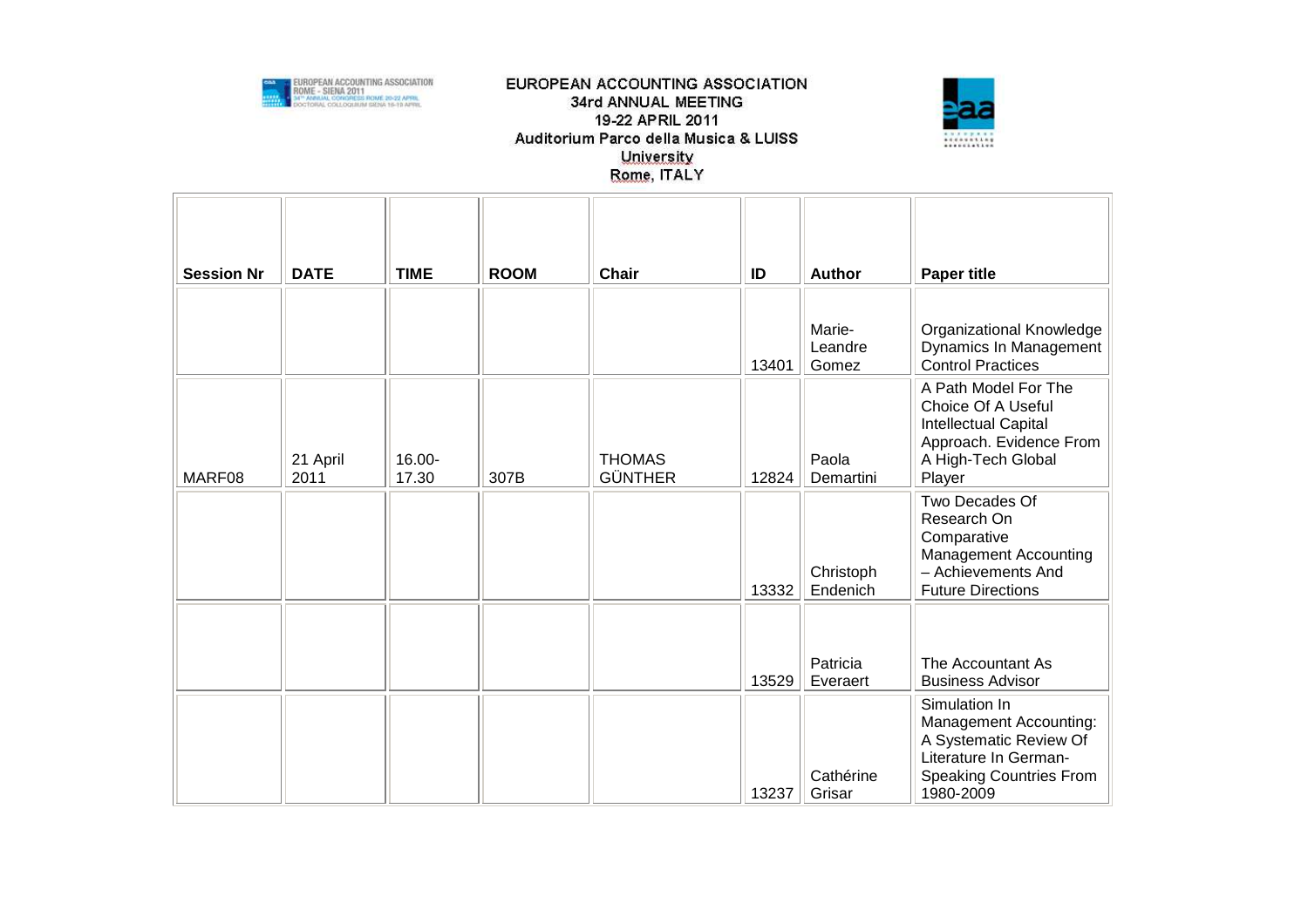



| <b>Session Nr</b> | <b>DATE</b>      | <b>TIME</b>     | <b>ROOM</b> | <b>Chair</b>                    | ID    | <b>Author</b>              | <b>Paper title</b>                                                                                                                        |
|-------------------|------------------|-----------------|-------------|---------------------------------|-------|----------------------------|-------------------------------------------------------------------------------------------------------------------------------------------|
|                   |                  |                 |             |                                 | 13401 | Marie-<br>Leandre<br>Gomez | Organizational Knowledge<br>Dynamics In Management<br><b>Control Practices</b>                                                            |
| MARF08            | 21 April<br>2011 | 16.00-<br>17.30 | 307B        | <b>THOMAS</b><br><b>GÜNTHER</b> | 12824 | Paola<br>Demartini         | A Path Model For The<br>Choice Of A Useful<br>Intellectual Capital<br>Approach. Evidence From<br>A High-Tech Global<br>Player             |
|                   |                  |                 |             |                                 | 13332 | Christoph<br>Endenich      | Two Decades Of<br>Research On<br>Comparative<br><b>Management Accounting</b><br>- Achievements And<br><b>Future Directions</b>            |
|                   |                  |                 |             |                                 | 13529 | Patricia<br>Everaert       | The Accountant As<br><b>Business Advisor</b>                                                                                              |
|                   |                  |                 |             |                                 | 13237 | Cathérine<br>Grisar        | Simulation In<br>Management Accounting:<br>A Systematic Review Of<br>Literature In German-<br><b>Speaking Countries From</b><br>1980-2009 |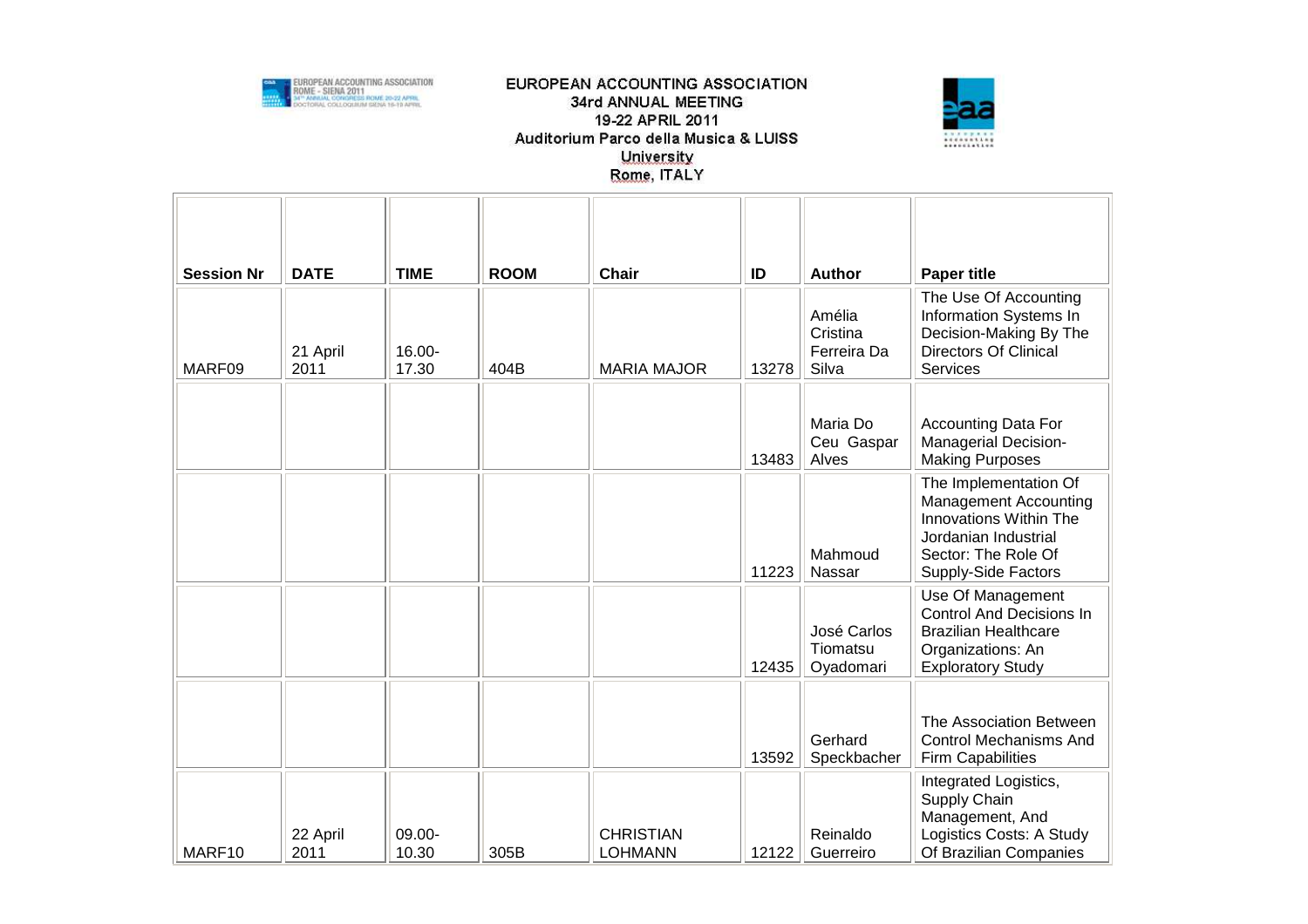



| <b>Session Nr</b> | <b>DATE</b>      | <b>TIME</b>     | <b>ROOM</b> | <b>Chair</b>                       | ID    | <b>Author</b>                              | <b>Paper title</b>                                                                                                                                    |
|-------------------|------------------|-----------------|-------------|------------------------------------|-------|--------------------------------------------|-------------------------------------------------------------------------------------------------------------------------------------------------------|
| MARF09            | 21 April<br>2011 | 16.00-<br>17.30 | 404B        | <b>MARIA MAJOR</b>                 | 13278 | Amélia<br>Cristina<br>Ferreira Da<br>Silva | The Use Of Accounting<br>Information Systems In<br>Decision-Making By The<br><b>Directors Of Clinical</b><br>Services                                 |
|                   |                  |                 |             |                                    | 13483 | Maria Do<br>Ceu Gaspar<br>Alves            | <b>Accounting Data For</b><br>Managerial Decision-<br><b>Making Purposes</b>                                                                          |
|                   |                  |                 |             |                                    | 11223 | Mahmoud<br>Nassar                          | The Implementation Of<br><b>Management Accounting</b><br>Innovations Within The<br>Jordanian Industrial<br>Sector: The Role Of<br>Supply-Side Factors |
|                   |                  |                 |             |                                    | 12435 | José Carlos<br>Tiomatsu<br>Oyadomari       | Use Of Management<br><b>Control And Decisions In</b><br><b>Brazilian Healthcare</b><br>Organizations: An<br><b>Exploratory Study</b>                  |
|                   |                  |                 |             |                                    | 13592 | Gerhard<br>Speckbacher                     | The Association Between<br><b>Control Mechanisms And</b><br><b>Firm Capabilities</b>                                                                  |
| MARF10            | 22 April<br>2011 | 09.00-<br>10.30 | 305B        | <b>CHRISTIAN</b><br><b>LOHMANN</b> | 12122 | Reinaldo<br>Guerreiro                      | Integrated Logistics,<br>Supply Chain<br>Management, And<br>Logistics Costs: A Study<br>Of Brazilian Companies                                        |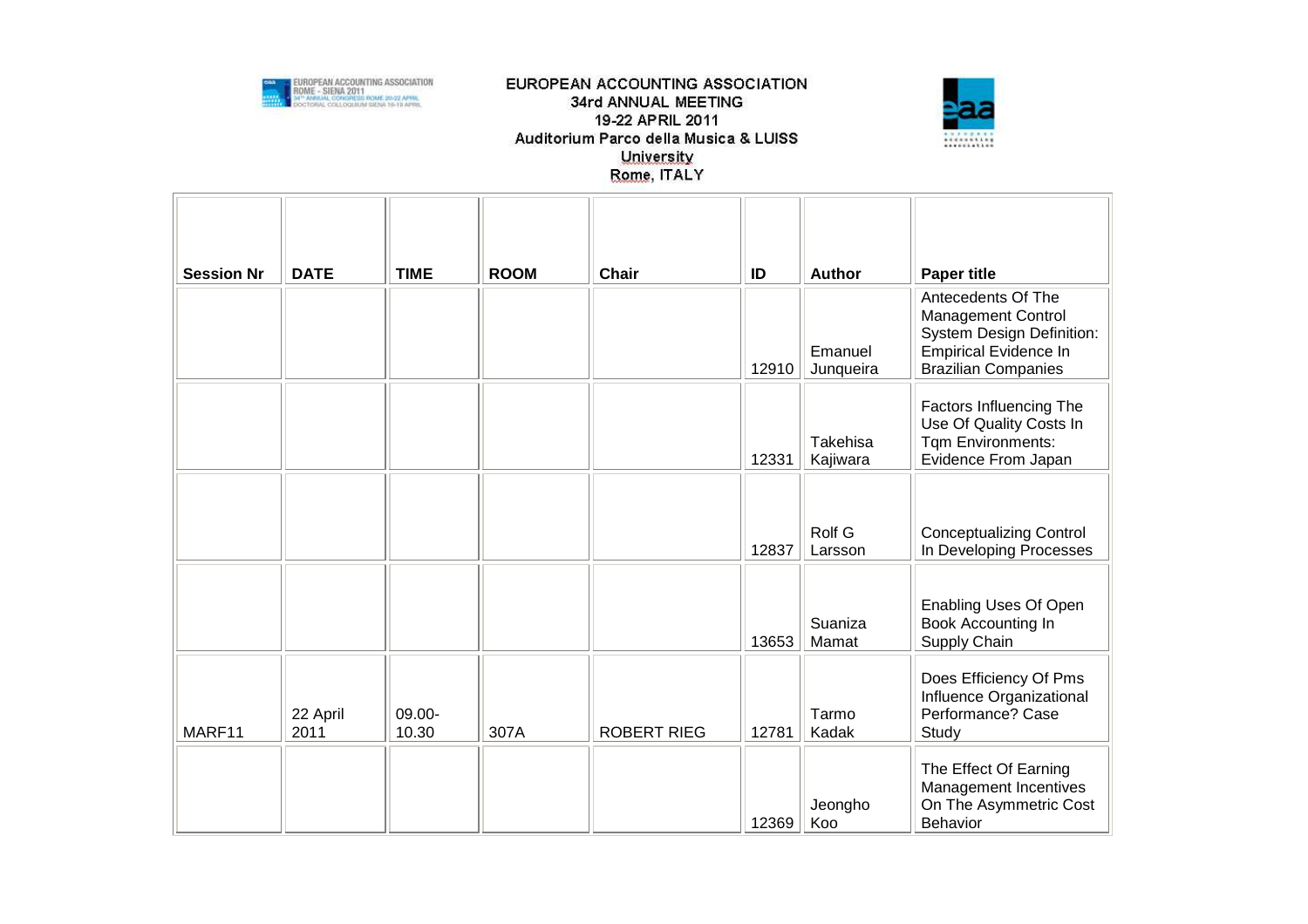



| <b>Session Nr</b> | <b>DATE</b>      | <b>TIME</b>     | <b>ROOM</b> | <b>Chair</b>       | ID    | <b>Author</b>        | <b>Paper title</b>                                                                                                                                |
|-------------------|------------------|-----------------|-------------|--------------------|-------|----------------------|---------------------------------------------------------------------------------------------------------------------------------------------------|
|                   |                  |                 |             |                    | 12910 | Emanuel<br>Junqueira | Antecedents Of The<br><b>Management Control</b><br><b>System Design Definition:</b><br><b>Empirical Evidence In</b><br><b>Brazilian Companies</b> |
|                   |                  |                 |             |                    | 12331 | Takehisa<br>Kajiwara | Factors Influencing The<br>Use Of Quality Costs In<br>Tqm Environments:<br>Evidence From Japan                                                    |
|                   |                  |                 |             |                    | 12837 | Rolf G<br>Larsson    | <b>Conceptualizing Control</b><br>In Developing Processes                                                                                         |
|                   |                  |                 |             |                    | 13653 | Suaniza<br>Mamat     | <b>Enabling Uses Of Open</b><br>Book Accounting In<br>Supply Chain                                                                                |
| MARF11            | 22 April<br>2011 | 09.00-<br>10.30 | 307A        | <b>ROBERT RIEG</b> | 12781 | Tarmo<br>Kadak       | Does Efficiency Of Pms<br>Influence Organizational<br>Performance? Case<br>Study                                                                  |
|                   |                  |                 |             |                    | 12369 | Jeongho<br>Koo       | The Effect Of Earning<br>Management Incentives<br>On The Asymmetric Cost<br>Behavior                                                              |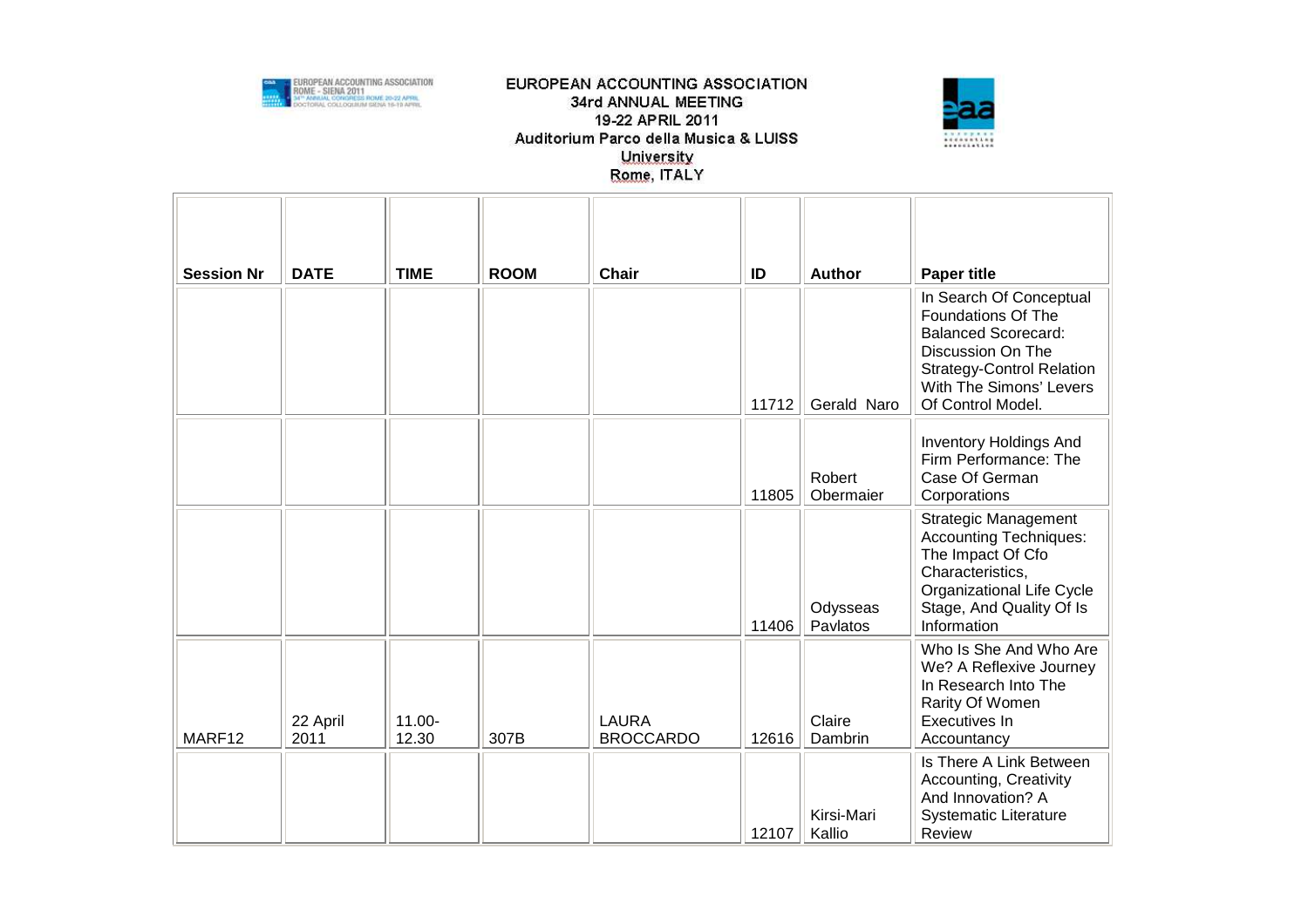



| <b>Session Nr</b> | <b>DATE</b>      | <b>TIME</b>        | <b>ROOM</b> | <b>Chair</b>                     | ID    | <b>Author</b>        | <b>Paper title</b>                                                                                                                                                                          |
|-------------------|------------------|--------------------|-------------|----------------------------------|-------|----------------------|---------------------------------------------------------------------------------------------------------------------------------------------------------------------------------------------|
|                   |                  |                    |             |                                  | 11712 | Gerald Naro          | In Search Of Conceptual<br><b>Foundations Of The</b><br><b>Balanced Scorecard:</b><br>Discussion On The<br><b>Strategy-Control Relation</b><br>With The Simons' Levers<br>Of Control Model. |
|                   |                  |                    |             |                                  | 11805 | Robert<br>Obermaier  | <b>Inventory Holdings And</b><br>Firm Performance: The<br>Case Of German<br>Corporations                                                                                                    |
|                   |                  |                    |             |                                  | 11406 | Odysseas<br>Pavlatos | <b>Strategic Management</b><br><b>Accounting Techniques:</b><br>The Impact Of Cfo<br>Characteristics,<br>Organizational Life Cycle<br>Stage, And Quality Of Is<br>Information               |
| MARF12            | 22 April<br>2011 | $11.00 -$<br>12.30 | 307B        | <b>LAURA</b><br><b>BROCCARDO</b> | 12616 | Claire<br>Dambrin    | Who Is She And Who Are<br>We? A Reflexive Journey<br>In Research Into The<br>Rarity Of Women<br>Executives In<br>Accountancy                                                                |
|                   |                  |                    |             |                                  | 12107 | Kirsi-Mari<br>Kallio | Is There A Link Between<br>Accounting, Creativity<br>And Innovation? A<br><b>Systematic Literature</b><br>Review                                                                            |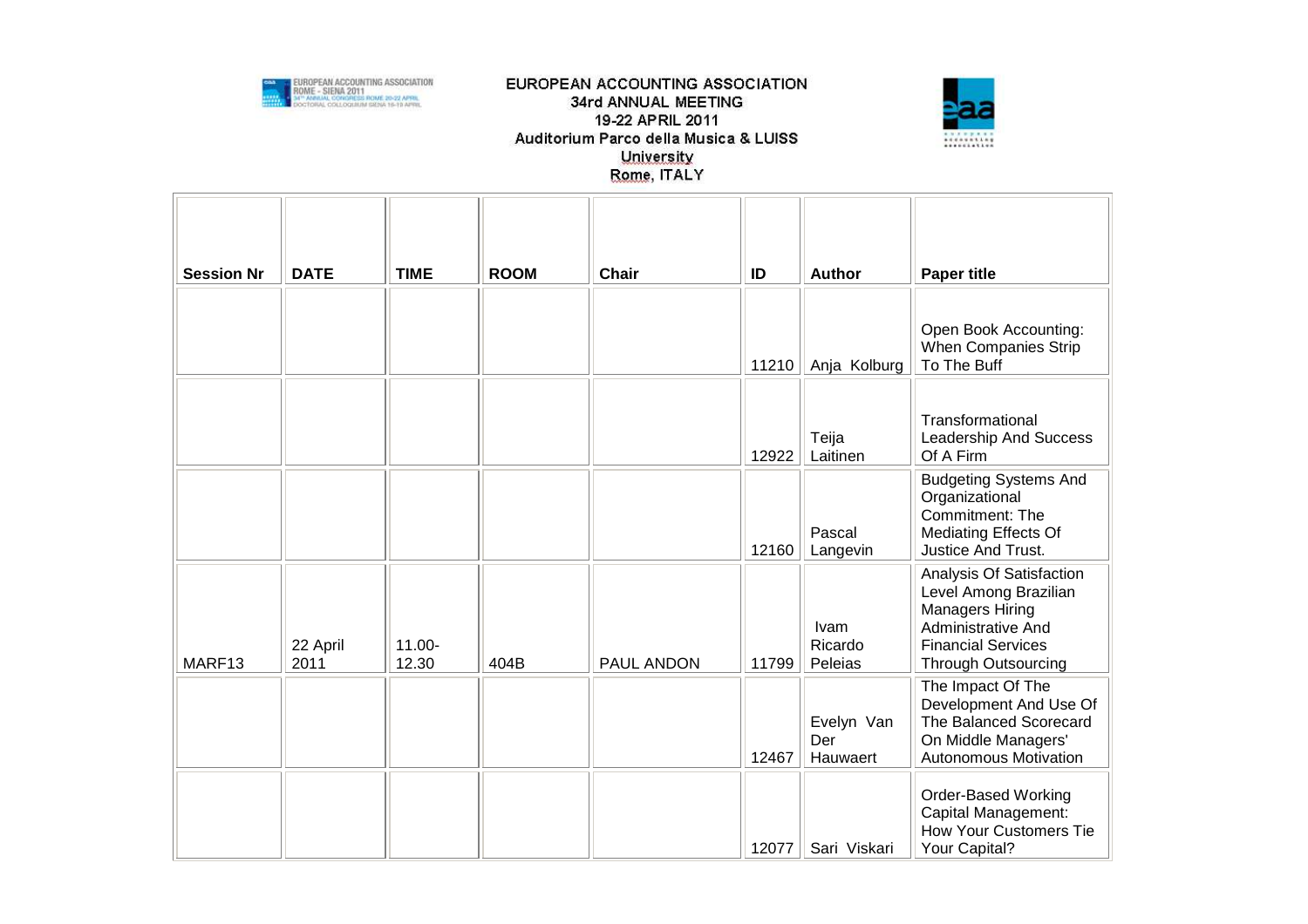



| <b>Session Nr</b> | <b>DATE</b>      | <b>TIME</b>        | <b>ROOM</b> | <b>Chair</b> | ID    | Author                        | <b>Paper title</b>                                                                                                                                    |
|-------------------|------------------|--------------------|-------------|--------------|-------|-------------------------------|-------------------------------------------------------------------------------------------------------------------------------------------------------|
|                   |                  |                    |             |              | 11210 | Anja Kolburg                  | Open Book Accounting:<br>When Companies Strip<br>To The Buff                                                                                          |
|                   |                  |                    |             |              | 12922 | Teija<br>Laitinen             | Transformational<br>Leadership And Success<br>Of A Firm                                                                                               |
|                   |                  |                    |             |              | 12160 | Pascal<br>Langevin            | <b>Budgeting Systems And</b><br>Organizational<br>Commitment: The<br><b>Mediating Effects Of</b><br><b>Justice And Trust.</b>                         |
| MARF13            | 22 April<br>2011 | $11.00 -$<br>12.30 | 404B        | PAUL ANDON   | 11799 | Ivam<br>Ricardo<br>Peleias    | Analysis Of Satisfaction<br>Level Among Brazilian<br><b>Managers Hiring</b><br>Administrative And<br><b>Financial Services</b><br>Through Outsourcing |
|                   |                  |                    |             |              | 12467 | Evelyn Van<br>Der<br>Hauwaert | The Impact Of The<br>Development And Use Of<br>The Balanced Scorecard<br>On Middle Managers'<br><b>Autonomous Motivation</b>                          |
|                   |                  |                    |             |              | 12077 | Sari Viskari                  | <b>Order-Based Working</b><br>Capital Management:<br><b>How Your Customers Tie</b><br>Your Capital?                                                   |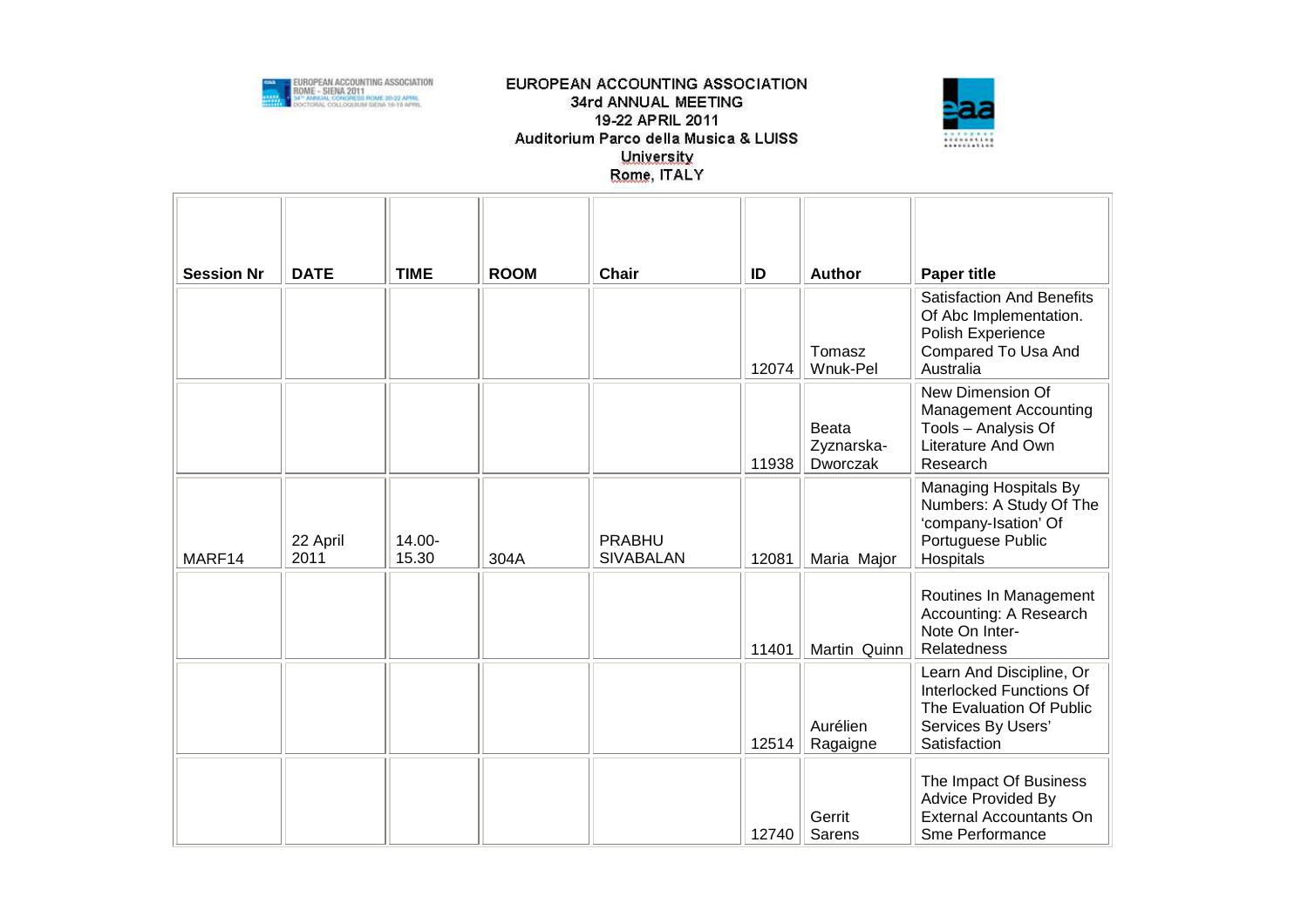



| <b>Session Nr</b> | <b>DATE</b>      | <b>TIME</b>     | <b>ROOM</b> | <b>Chair</b>                      | ID    | <b>Author</b>                   | <b>Paper title</b>                                                                                                     |
|-------------------|------------------|-----------------|-------------|-----------------------------------|-------|---------------------------------|------------------------------------------------------------------------------------------------------------------------|
|                   |                  |                 |             |                                   | 12074 | Tomasz<br>Wnuk-Pel              | <b>Satisfaction And Benefits</b><br>Of Abc Implementation.<br>Polish Experience<br>Compared To Usa And<br>Australia    |
|                   |                  |                 |             |                                   | 11938 | Beata<br>Zyznarska-<br>Dworczak | New Dimension Of<br><b>Management Accounting</b><br>Tools - Analysis Of<br>Literature And Own<br>Research              |
| MARF14            | 22 April<br>2011 | 14.00-<br>15.30 | 304A        | <b>PRABHU</b><br><b>SIVABALAN</b> | 12081 | Maria Major                     | Managing Hospitals By<br>Numbers: A Study Of The<br>'company-Isation' Of<br>Portuguese Public<br>Hospitals             |
|                   |                  |                 |             |                                   | 11401 | Martin Quinn                    | Routines In Management<br>Accounting: A Research<br>Note On Inter-<br>Relatedness                                      |
|                   |                  |                 |             |                                   | 12514 | Aurélien<br>Ragaigne            | Learn And Discipline, Or<br>Interlocked Functions Of<br>The Evaluation Of Public<br>Services By Users'<br>Satisfaction |
|                   |                  |                 |             |                                   | 12740 | Gerrit<br>Sarens                | The Impact Of Business<br><b>Advice Provided By</b><br><b>External Accountants On</b><br>Sme Performance               |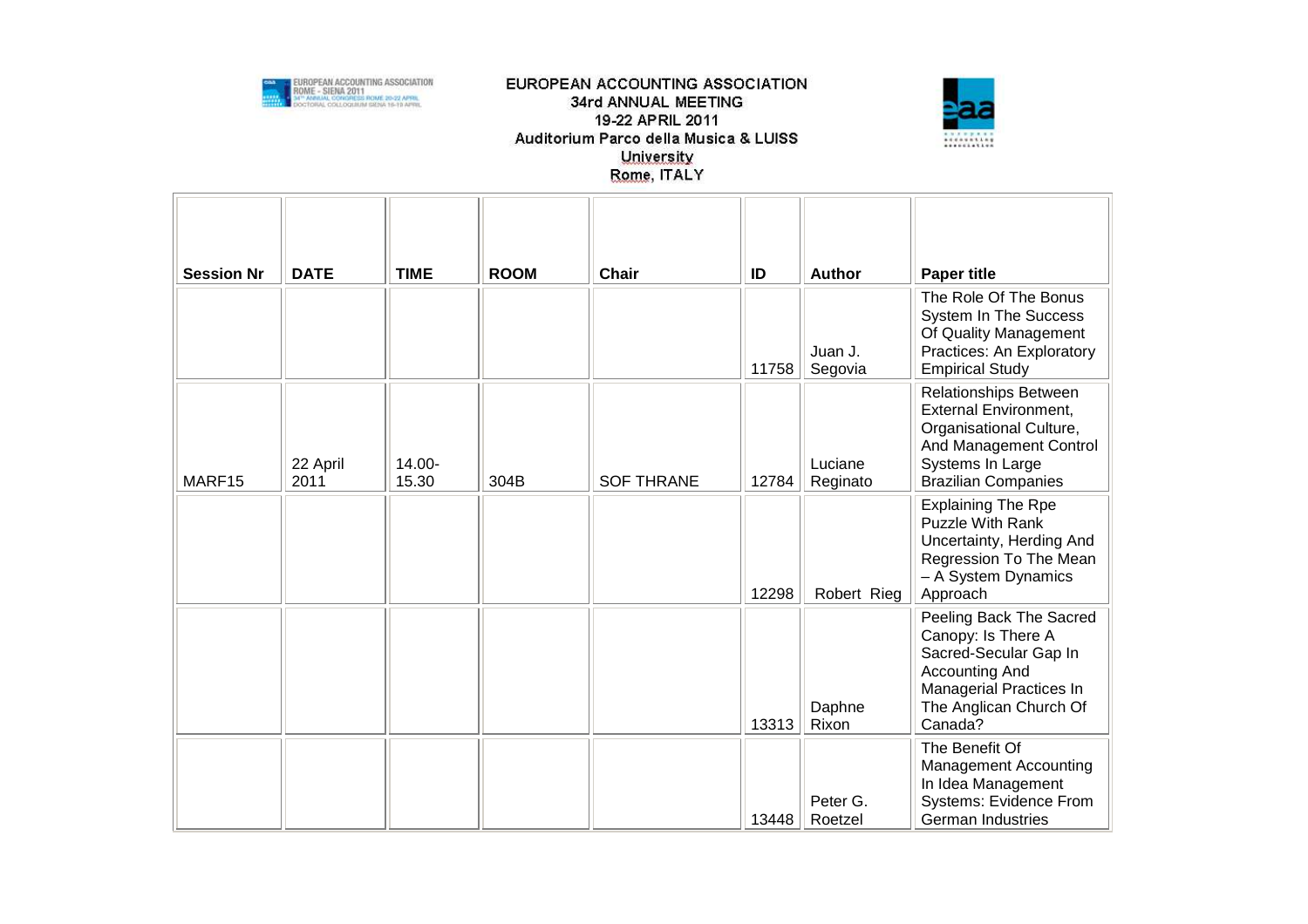



| <b>Session Nr</b> | <b>DATE</b>      | <b>TIME</b>     | <b>ROOM</b> | <b>Chair</b>      | ID    | <b>Author</b>       | <b>Paper title</b>                                                                                                                                              |
|-------------------|------------------|-----------------|-------------|-------------------|-------|---------------------|-----------------------------------------------------------------------------------------------------------------------------------------------------------------|
|                   |                  |                 |             |                   | 11758 | Juan J.<br>Segovia  | The Role Of The Bonus<br>System In The Success<br>Of Quality Management<br>Practices: An Exploratory<br><b>Empirical Study</b>                                  |
| MARF15            | 22 April<br>2011 | 14.00-<br>15.30 | 304B        | <b>SOF THRANE</b> | 12784 | Luciane<br>Reginato | Relationships Between<br><b>External Environment,</b><br>Organisational Culture,<br>And Management Control<br>Systems In Large<br><b>Brazilian Companies</b>    |
|                   |                  |                 |             |                   | 12298 | Robert Rieg         | <b>Explaining The Rpe</b><br>Puzzle With Rank<br>Uncertainty, Herding And<br>Regression To The Mean<br>- A System Dynamics<br>Approach                          |
|                   |                  |                 |             |                   | 13313 | Daphne<br>Rixon     | Peeling Back The Sacred<br>Canopy: Is There A<br>Sacred-Secular Gap In<br><b>Accounting And</b><br>Managerial Practices In<br>The Anglican Church Of<br>Canada? |
|                   |                  |                 |             |                   | 13448 | Peter G.<br>Roetzel | The Benefit Of<br>Management Accounting<br>In Idea Management<br>Systems: Evidence From<br><b>German Industries</b>                                             |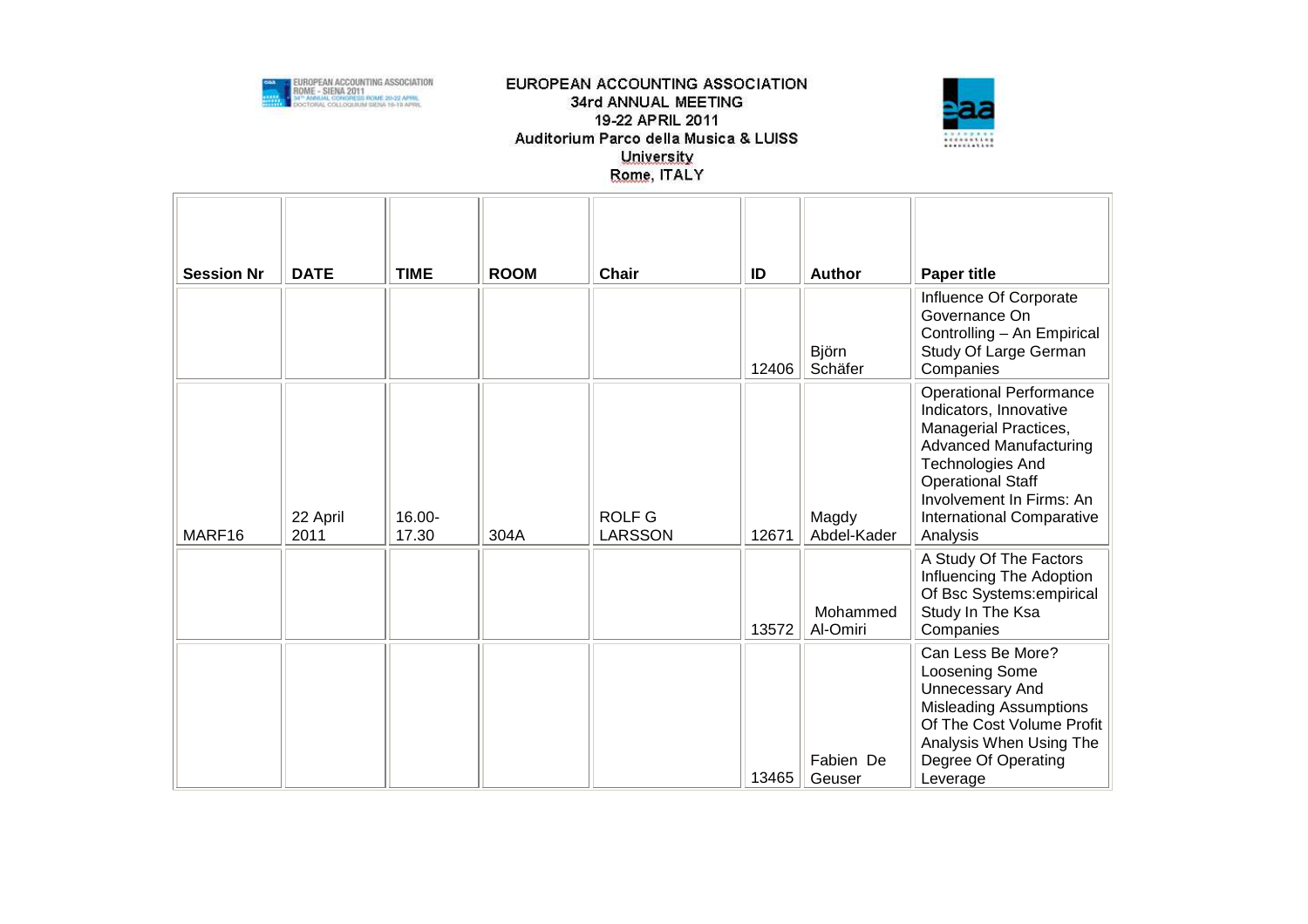



| <b>Session Nr</b> | <b>DATE</b>      | <b>TIME</b>        | <b>ROOM</b> | <b>Chair</b>                    | ID    | <b>Author</b>        | <b>Paper title</b>                                                                                                                                                                                                                      |
|-------------------|------------------|--------------------|-------------|---------------------------------|-------|----------------------|-----------------------------------------------------------------------------------------------------------------------------------------------------------------------------------------------------------------------------------------|
|                   |                  |                    |             |                                 | 12406 | Björn<br>Schäfer     | Influence Of Corporate<br>Governance On<br>Controlling - An Empirical<br>Study Of Large German<br>Companies                                                                                                                             |
| MARF16            | 22 April<br>2011 | $16.00 -$<br>17.30 | 304A        | <b>ROLF G</b><br><b>LARSSON</b> | 12671 | Magdy<br>Abdel-Kader | <b>Operational Performance</b><br>Indicators, Innovative<br>Managerial Practices,<br><b>Advanced Manufacturing</b><br>Technologies And<br><b>Operational Staff</b><br>Involvement In Firms: An<br>International Comparative<br>Analysis |
|                   |                  |                    |             |                                 | 13572 | Mohammed<br>Al-Omiri | A Study Of The Factors<br>Influencing The Adoption<br>Of Bsc Systems: empirical<br>Study In The Ksa<br>Companies                                                                                                                        |
|                   |                  |                    |             |                                 | 13465 | Fabien De<br>Geuser  | Can Less Be More?<br>Loosening Some<br><b>Unnecessary And</b><br><b>Misleading Assumptions</b><br>Of The Cost Volume Profit<br>Analysis When Using The<br>Degree Of Operating<br>Leverage                                               |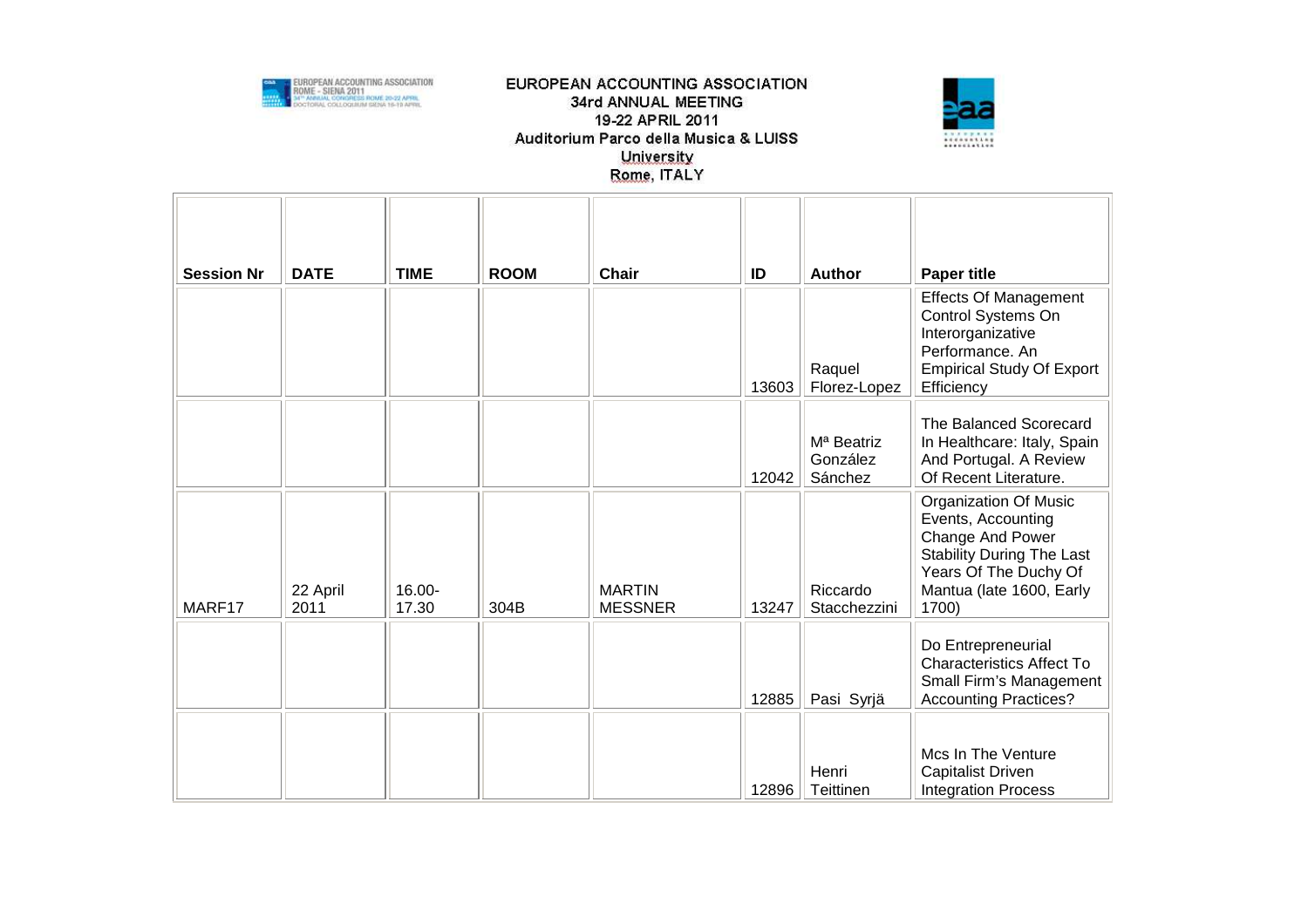



| <b>Session Nr</b> | <b>DATE</b>      | <b>TIME</b>     | <b>ROOM</b> | Chair                           | ID    | Author                                        | <b>Paper title</b>                                                                                                                                                       |
|-------------------|------------------|-----------------|-------------|---------------------------------|-------|-----------------------------------------------|--------------------------------------------------------------------------------------------------------------------------------------------------------------------------|
|                   |                  |                 |             |                                 | 13603 | Raquel<br>Florez-Lopez                        | <b>Effects Of Management</b><br>Control Systems On<br>Interorganizative<br>Performance. An<br><b>Empirical Study Of Export</b><br>Efficiency                             |
|                   |                  |                 |             |                                 | 12042 | M <sup>a</sup> Beatriz<br>González<br>Sánchez | The Balanced Scorecard<br>In Healthcare: Italy, Spain<br>And Portugal. A Review<br>Of Recent Literature.                                                                 |
| MARF17            | 22 April<br>2011 | 16.00-<br>17.30 | 304B        | <b>MARTIN</b><br><b>MESSNER</b> | 13247 | Riccardo<br>Stacchezzini                      | <b>Organization Of Music</b><br>Events, Accounting<br>Change And Power<br><b>Stability During The Last</b><br>Years Of The Duchy Of<br>Mantua (late 1600, Early<br>1700) |
|                   |                  |                 |             |                                 | 12885 | Pasi Syrjä                                    | Do Entrepreneurial<br><b>Characteristics Affect To</b><br>Small Firm's Management<br><b>Accounting Practices?</b>                                                        |
|                   |                  |                 |             |                                 | 12896 | Henri<br>Teittinen                            | Mcs In The Venture<br><b>Capitalist Driven</b><br><b>Integration Process</b>                                                                                             |